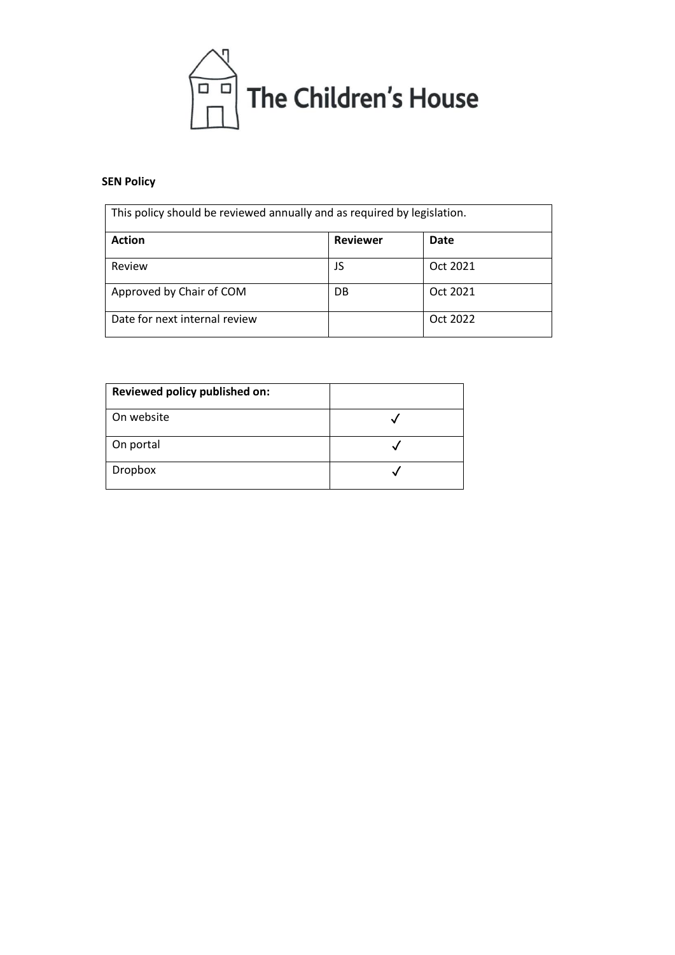

# **SEN Policy**

| This policy should be reviewed annually and as required by legislation. |                 |          |  |
|-------------------------------------------------------------------------|-----------------|----------|--|
| <b>Action</b>                                                           | <b>Reviewer</b> | Date     |  |
| Review                                                                  | JS              | Oct 2021 |  |
| Approved by Chair of COM                                                | DB.             | Oct 2021 |  |
| Date for next internal review                                           |                 | Oct 2022 |  |

| Reviewed policy published on: |  |
|-------------------------------|--|
| On website                    |  |
| On portal                     |  |
| <b>Dropbox</b>                |  |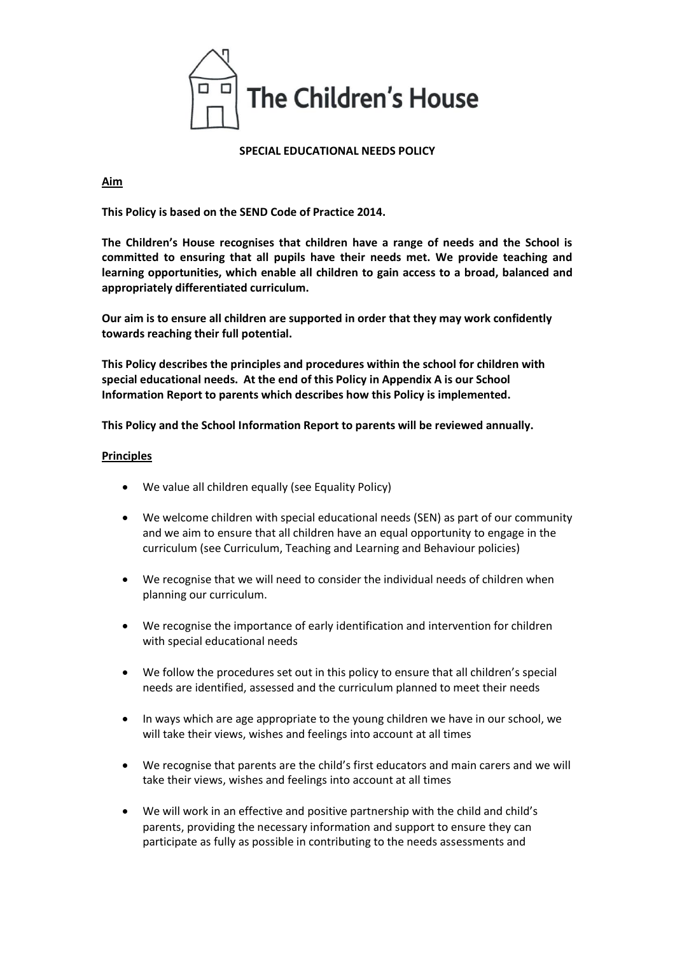

### **SPECIAL EDUCATIONAL NEEDS POLICY**

#### **Aim**

**This Policy is based on the SEND Code of Practice 2014.** 

**The Children's House recognises that children have a range of needs and the School is committed to ensuring that all pupils have their needs met. We provide teaching and learning opportunities, which enable all children to gain access to a broad, balanced and appropriately differentiated curriculum.**

**Our aim is to ensure all children are supported in order that they may work confidently towards reaching their full potential.**

**This Policy describes the principles and procedures within the school for children with special educational needs. At the end of this Policy in Appendix A is our School Information Report to parents which describes how this Policy is implemented.** 

**This Policy and the School Information Report to parents will be reviewed annually.** 

#### **Principles**

- We value all children equally (see Equality Policy)
- We welcome children with special educational needs (SEN) as part of our community and we aim to ensure that all children have an equal opportunity to engage in the curriculum (see Curriculum, Teaching and Learning and Behaviour policies)
- We recognise that we will need to consider the individual needs of children when planning our curriculum.
- We recognise the importance of early identification and intervention for children with special educational needs
- We follow the procedures set out in this policy to ensure that all children's special needs are identified, assessed and the curriculum planned to meet their needs
- In ways which are age appropriate to the young children we have in our school, we will take their views, wishes and feelings into account at all times
- We recognise that parents are the child's first educators and main carers and we will take their views, wishes and feelings into account at all times
- We will work in an effective and positive partnership with the child and child's parents, providing the necessary information and support to ensure they can participate as fully as possible in contributing to the needs assessments and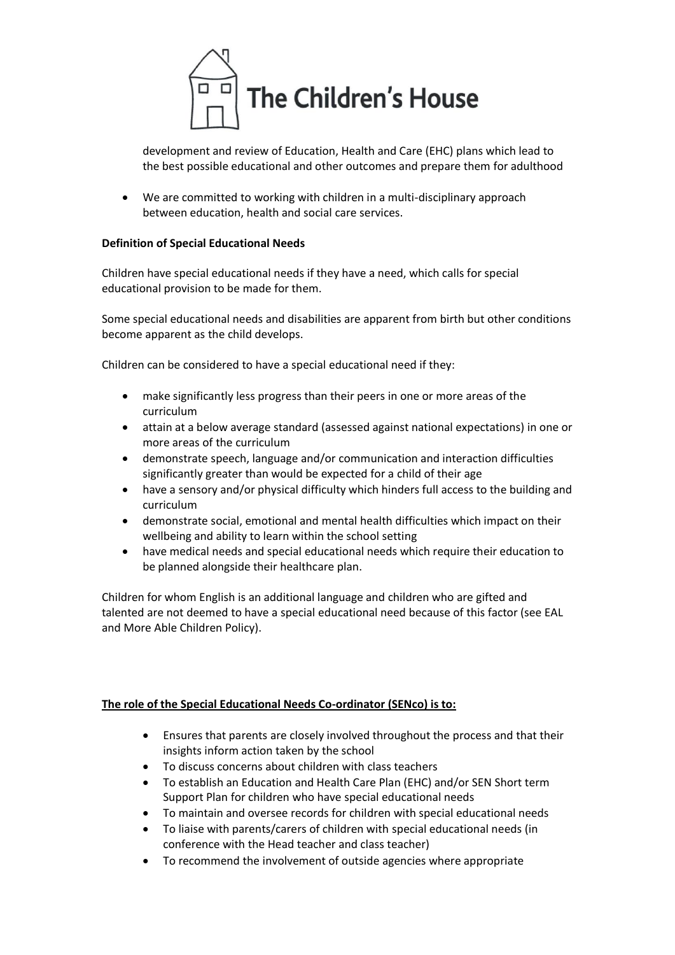

development and review of Education, Health and Care (EHC) plans which lead to the best possible educational and other outcomes and prepare them for adulthood

• We are committed to working with children in a multi-disciplinary approach between education, health and social care services.

# **Definition of Special Educational Needs**

Children have special educational needs if they have a need, which calls for special educational provision to be made for them.

Some special educational needs and disabilities are apparent from birth but other conditions become apparent as the child develops.

Children can be considered to have a special educational need if they:

- make significantly less progress than their peers in one or more areas of the curriculum
- attain at a below average standard (assessed against national expectations) in one or more areas of the curriculum
- demonstrate speech, language and/or communication and interaction difficulties significantly greater than would be expected for a child of their age
- have a sensory and/or physical difficulty which hinders full access to the building and curriculum
- demonstrate social, emotional and mental health difficulties which impact on their wellbeing and ability to learn within the school setting
- have medical needs and special educational needs which require their education to be planned alongside their healthcare plan.

Children for whom English is an additional language and children who are gifted and talented are not deemed to have a special educational need because of this factor (see EAL and More Able Children Policy).

# **The role of the Special Educational Needs Co-ordinator (SENco) is to:**

- Ensures that parents are closely involved throughout the process and that their insights inform action taken by the school
- To discuss concerns about children with class teachers
- To establish an Education and Health Care Plan (EHC) and/or SEN Short term Support Plan for children who have special educational needs
- To maintain and oversee records for children with special educational needs
- To liaise with parents/carers of children with special educational needs (in conference with the Head teacher and class teacher)
- To recommend the involvement of outside agencies where appropriate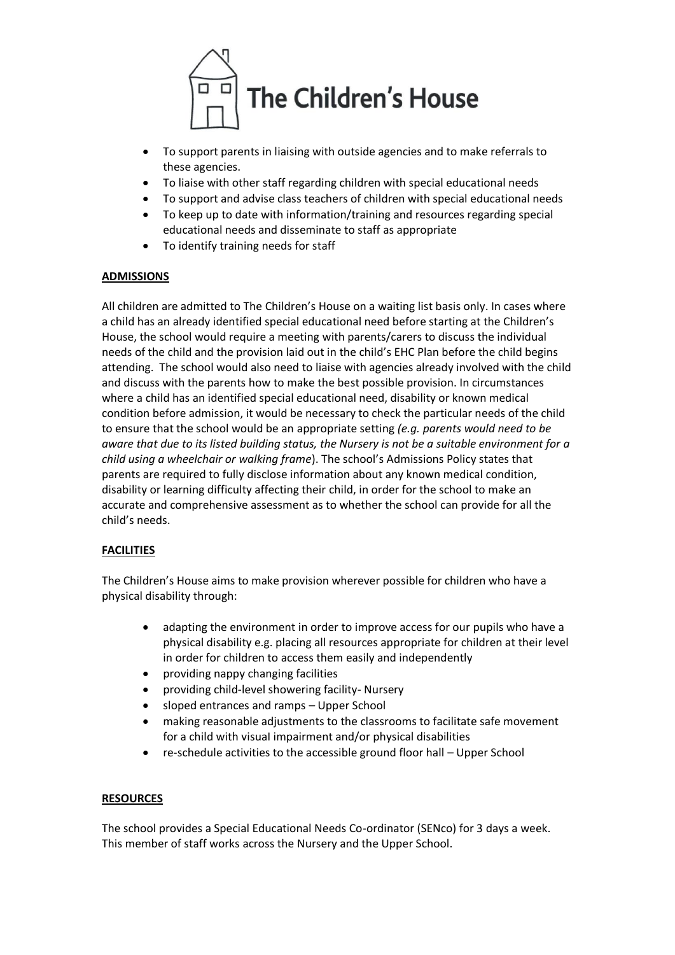

- To support parents in liaising with outside agencies and to make referrals to these agencies.
- To liaise with other staff regarding children with special educational needs
- To support and advise class teachers of children with special educational needs
- To keep up to date with information/training and resources regarding special educational needs and disseminate to staff as appropriate
- To identify training needs for staff

## **ADMISSIONS**

All children are admitted to The Children's House on a waiting list basis only. In cases where a child has an already identified special educational need before starting at the Children's House, the school would require a meeting with parents/carers to discuss the individual needs of the child and the provision laid out in the child's EHC Plan before the child begins attending. The school would also need to liaise with agencies already involved with the child and discuss with the parents how to make the best possible provision. In circumstances where a child has an identified special educational need, disability or known medical condition before admission, it would be necessary to check the particular needs of the child to ensure that the school would be an appropriate setting *(e.g. parents would need to be aware that due to its listed building status, the Nursery is not be a suitable environment for a child using a wheelchair or walking frame*). The school's Admissions Policy states that parents are required to fully disclose information about any known medical condition, disability or learning difficulty affecting their child, in order for the school to make an accurate and comprehensive assessment as to whether the school can provide for all the child's needs.

# **FACILITIES**

The Children's House aims to make provision wherever possible for children who have a physical disability through:

- adapting the environment in order to improve access for our pupils who have a physical disability e.g. placing all resources appropriate for children at their level in order for children to access them easily and independently
- providing nappy changing facilities
- providing child-level showering facility- Nursery
- sloped entrances and ramps Upper School
- making reasonable adjustments to the classrooms to facilitate safe movement for a child with visual impairment and/or physical disabilities
- re-schedule activities to the accessible ground floor hall Upper School

### **RESOURCES**

The school provides a Special Educational Needs Co-ordinator (SENco) for 3 days a week. This member of staff works across the Nursery and the Upper School.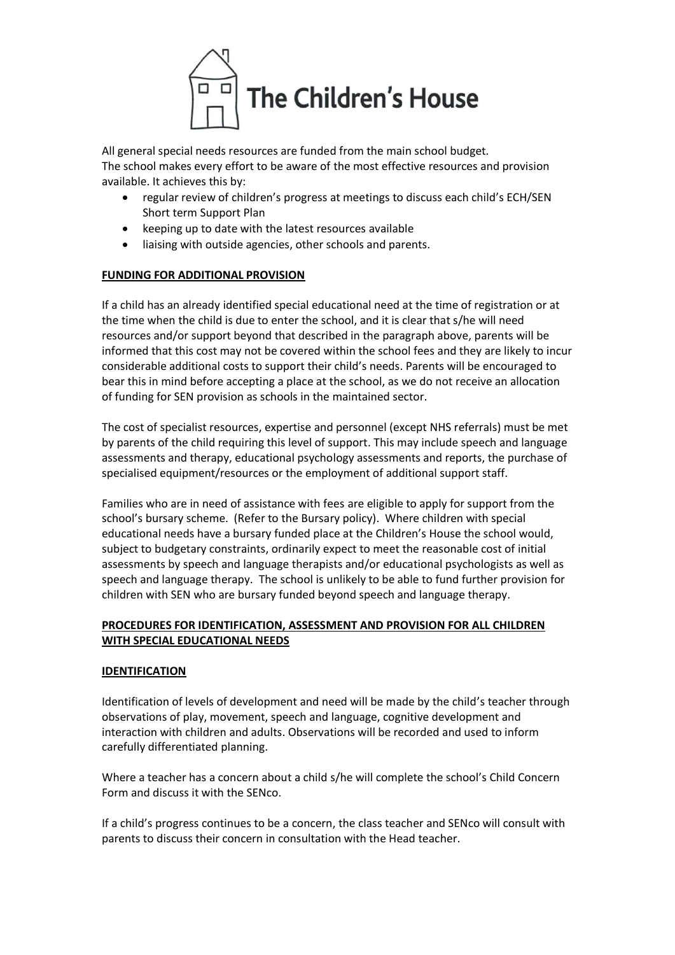

All general special needs resources are funded from the main school budget. The school makes every effort to be aware of the most effective resources and provision available. It achieves this by:

- regular review of children's progress at meetings to discuss each child's ECH/SEN Short term Support Plan
- keeping up to date with the latest resources available
- liaising with outside agencies, other schools and parents.

# **FUNDING FOR ADDITIONAL PROVISION**

If a child has an already identified special educational need at the time of registration or at the time when the child is due to enter the school, and it is clear that s/he will need resources and/or support beyond that described in the paragraph above, parents will be informed that this cost may not be covered within the school fees and they are likely to incur considerable additional costs to support their child's needs. Parents will be encouraged to bear this in mind before accepting a place at the school, as we do not receive an allocation of funding for SEN provision as schools in the maintained sector.

The cost of specialist resources, expertise and personnel (except NHS referrals) must be met by parents of the child requiring this level of support. This may include speech and language assessments and therapy, educational psychology assessments and reports, the purchase of specialised equipment/resources or the employment of additional support staff.

Families who are in need of assistance with fees are eligible to apply for support from the school's bursary scheme. (Refer to the Bursary policy). Where children with special educational needs have a bursary funded place at the Children's House the school would, subject to budgetary constraints, ordinarily expect to meet the reasonable cost of initial assessments by speech and language therapists and/or educational psychologists as well as speech and language therapy. The school is unlikely to be able to fund further provision for children with SEN who are bursary funded beyond speech and language therapy.

# **PROCEDURES FOR IDENTIFICATION, ASSESSMENT AND PROVISION FOR ALL CHILDREN WITH SPECIAL EDUCATIONAL NEEDS**

# **IDENTIFICATION**

Identification of levels of development and need will be made by the child's teacher through observations of play, movement, speech and language, cognitive development and interaction with children and adults. Observations will be recorded and used to inform carefully differentiated planning.

Where a teacher has a concern about a child s/he will complete the school's Child Concern Form and discuss it with the SENco.

If a child's progress continues to be a concern, the class teacher and SENco will consult with parents to discuss their concern in consultation with the Head teacher.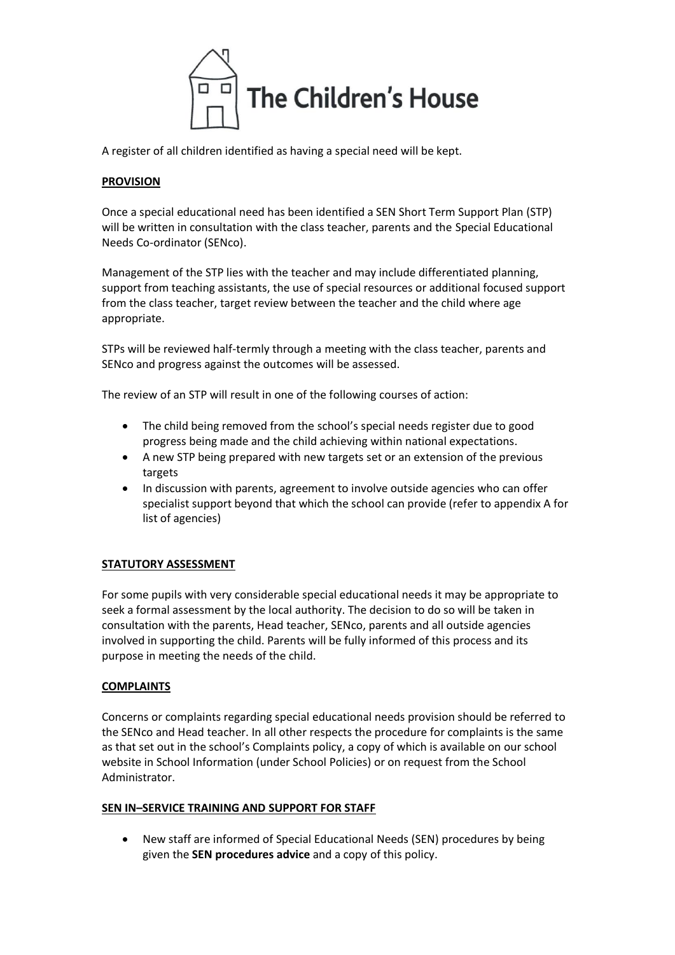

A register of all children identified as having a special need will be kept.

# **PROVISION**

Once a special educational need has been identified a SEN Short Term Support Plan (STP) will be written in consultation with the class teacher, parents and the Special Educational Needs Co-ordinator (SENco).

Management of the STP lies with the teacher and may include differentiated planning, support from teaching assistants, the use of special resources or additional focused support from the class teacher, target review between the teacher and the child where age appropriate.

STPs will be reviewed half-termly through a meeting with the class teacher, parents and SENco and progress against the outcomes will be assessed.

The review of an STP will result in one of the following courses of action:

- The child being removed from the school's special needs register due to good progress being made and the child achieving within national expectations.
- A new STP being prepared with new targets set or an extension of the previous targets
- In discussion with parents, agreement to involve outside agencies who can offer specialist support beyond that which the school can provide (refer to appendix A for list of agencies)

# **STATUTORY ASSESSMENT**

For some pupils with very considerable special educational needs it may be appropriate to seek a formal assessment by the local authority. The decision to do so will be taken in consultation with the parents, Head teacher, SENco, parents and all outside agencies involved in supporting the child. Parents will be fully informed of this process and its purpose in meeting the needs of the child.

### **COMPLAINTS**

Concerns or complaints regarding special educational needs provision should be referred to the SENco and Head teacher. In all other respects the procedure for complaints is the same as that set out in the school's Complaints policy, a copy of which is available on our school website in School Information (under School Policies) or on request from the School Administrator.

### **SEN IN–SERVICE TRAINING AND SUPPORT FOR STAFF**

• New staff are informed of Special Educational Needs (SEN) procedures by being given the **SEN procedures advice** and a copy of this policy.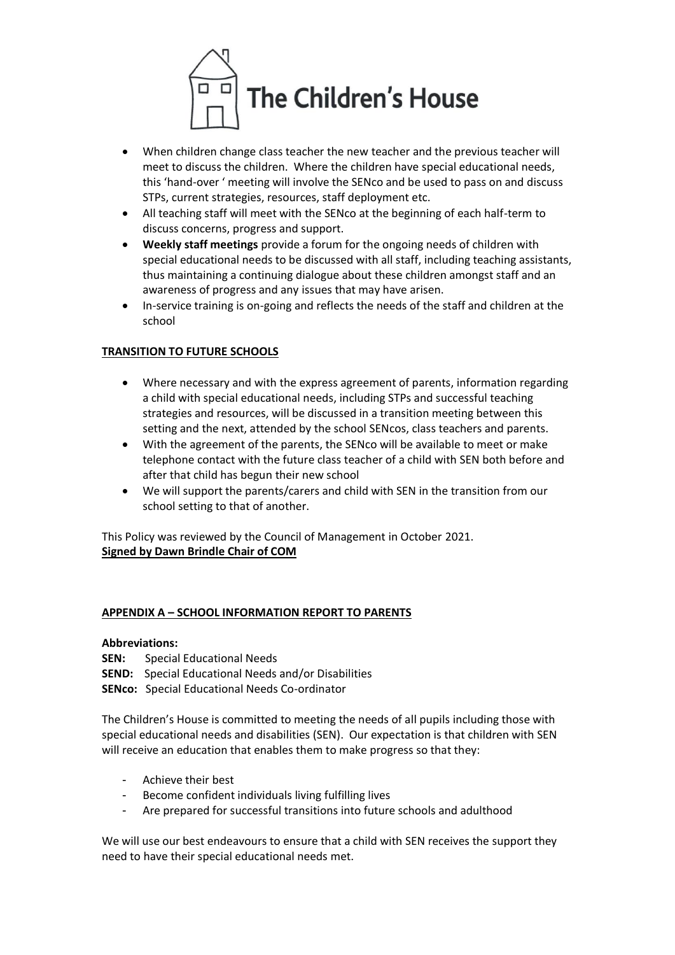

- When children change class teacher the new teacher and the previous teacher will meet to discuss the children. Where the children have special educational needs, this 'hand-over ' meeting will involve the SENco and be used to pass on and discuss STPs, current strategies, resources, staff deployment etc.
- All teaching staff will meet with the SENco at the beginning of each half-term to discuss concerns, progress and support.
- **Weekly staff meetings** provide a forum for the ongoing needs of children with special educational needs to be discussed with all staff, including teaching assistants, thus maintaining a continuing dialogue about these children amongst staff and an awareness of progress and any issues that may have arisen.
- In-service training is on-going and reflects the needs of the staff and children at the school

# **TRANSITION TO FUTURE SCHOOLS**

- Where necessary and with the express agreement of parents, information regarding a child with special educational needs, including STPs and successful teaching strategies and resources, will be discussed in a transition meeting between this setting and the next, attended by the school SENcos, class teachers and parents.
- With the agreement of the parents, the SENco will be available to meet or make telephone contact with the future class teacher of a child with SEN both before and after that child has begun their new school
- We will support the parents/carers and child with SEN in the transition from our school setting to that of another.

This Policy was reviewed by the Council of Management in October 2021. **Signed by Dawn Brindle Chair of COM**

# **APPENDIX A – SCHOOL INFORMATION REPORT TO PARENTS**

### **Abbreviations:**

- **SEN:** Special Educational Needs
- **SEND:** Special Educational Needs and/or Disabilities
- **SENco:** Special Educational Needs Co-ordinator

The Children's House is committed to meeting the needs of all pupils including those with special educational needs and disabilities (SEN). Our expectation is that children with SEN will receive an education that enables them to make progress so that they:

- Achieve their best
- Become confident individuals living fulfilling lives
- Are prepared for successful transitions into future schools and adulthood

We will use our best endeavours to ensure that a child with SEN receives the support they need to have their special educational needs met.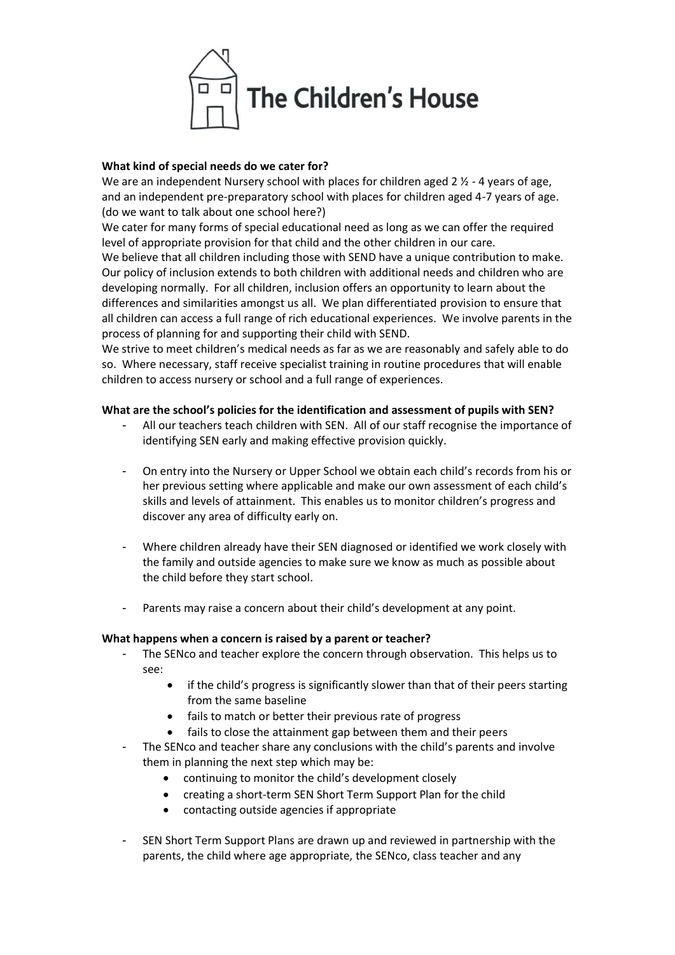

## **What kind of special needs do we cater for?**

We are an independent Nursery school with places for children aged  $2 \frac{1}{2}$  - 4 years of age, and an independent pre-preparatory school with places for children aged 4-7 years of age. (do we want to talk about one school here?)

We cater for many forms of special educational need as long as we can offer the required level of appropriate provision for that child and the other children in our care.

We believe that all children including those with SEND have a unique contribution to make. Our policy of inclusion extends to both children with additional needs and children who are developing normally. For all children, inclusion offers an opportunity to learn about the differences and similarities amongst us all. We plan differentiated provision to ensure that all children can access a full range of rich educational experiences. We involve parents in the process of planning for and supporting their child with SEND.

We strive to meet children's medical needs as far as we are reasonably and safely able to do so. Where necessary, staff receive specialist training in routine procedures that will enable children to access nursery or school and a full range of experiences.

## **What are the school's policies for the identification and assessment of pupils with SEN?**

- All our teachers teach children with SEN. All of our staff recognise the importance of identifying SEN early and making effective provision quickly.
- On entry into the Nursery or Upper School we obtain each child's records from his or her previous setting where applicable and make our own assessment of each child's skills and levels of attainment. This enables us to monitor children's progress and discover any area of difficulty early on.
- Where children already have their SEN diagnosed or identified we work closely with the family and outside agencies to make sure we know as much as possible about the child before they start school.
- Parents may raise a concern about their child's development at any point.

### **What happens when a concern is raised by a parent or teacher?**

- The SENco and teacher explore the concern through observation. This helps us to see:
	- if the child's progress is significantly slower than that of their peers starting from the same baseline
	- fails to match or better their previous rate of progress
	- fails to close the attainment gap between them and their peers
- The SENco and teacher share any conclusions with the child's parents and involve them in planning the next step which may be:
	- continuing to monitor the child's development closely
	- creating a short-term SEN Short Term Support Plan for the child
	- contacting outside agencies if appropriate
- SEN Short Term Support Plans are drawn up and reviewed in partnership with the parents, the child where age appropriate, the SENco, class teacher and any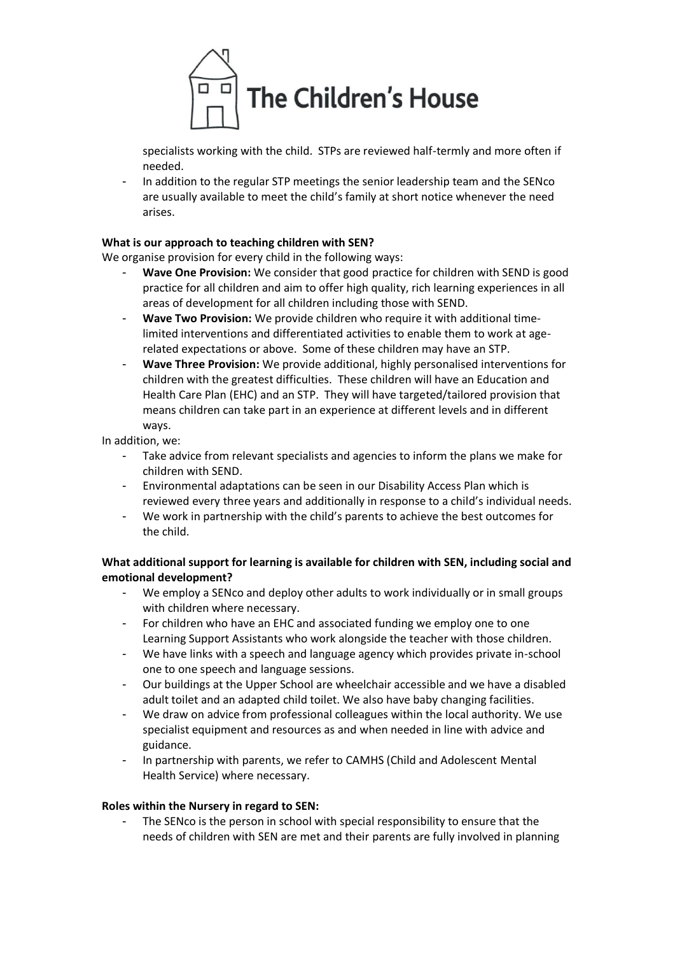

specialists working with the child. STPs are reviewed half-termly and more often if needed.

- In addition to the regular STP meetings the senior leadership team and the SENco are usually available to meet the child's family at short notice whenever the need arises.

# **What is our approach to teaching children with SEN?**

We organise provision for every child in the following ways:

- **Wave One Provision:** We consider that good practice for children with SEND is good practice for all children and aim to offer high quality, rich learning experiences in all areas of development for all children including those with SEND.
- **Wave Two Provision:** We provide children who require it with additional timelimited interventions and differentiated activities to enable them to work at agerelated expectations or above. Some of these children may have an STP.
- **Wave Three Provision:** We provide additional, highly personalised interventions for children with the greatest difficulties. These children will have an Education and Health Care Plan (EHC) and an STP. They will have targeted/tailored provision that means children can take part in an experience at different levels and in different ways.

In addition, we:

- Take advice from relevant specialists and agencies to inform the plans we make for children with SEND.
- Environmental adaptations can be seen in our Disability Access Plan which is reviewed every three years and additionally in response to a child's individual needs.
- We work in partnership with the child's parents to achieve the best outcomes for the child.

**What additional support for learning is available for children with SEN, including social and emotional development?** 

- We employ a SENco and deploy other adults to work individually or in small groups with children where necessary.
- For children who have an EHC and associated funding we employ one to one Learning Support Assistants who work alongside the teacher with those children.
- We have links with a speech and language agency which provides private in-school one to one speech and language sessions.
- Our buildings at the Upper School are wheelchair accessible and we have a disabled adult toilet and an adapted child toilet. We also have baby changing facilities.
- We draw on advice from professional colleagues within the local authority. We use specialist equipment and resources as and when needed in line with advice and guidance.
- In partnership with parents, we refer to CAMHS (Child and Adolescent Mental Health Service) where necessary.

### **Roles within the Nursery in regard to SEN:**

- The SENco is the person in school with special responsibility to ensure that the needs of children with SEN are met and their parents are fully involved in planning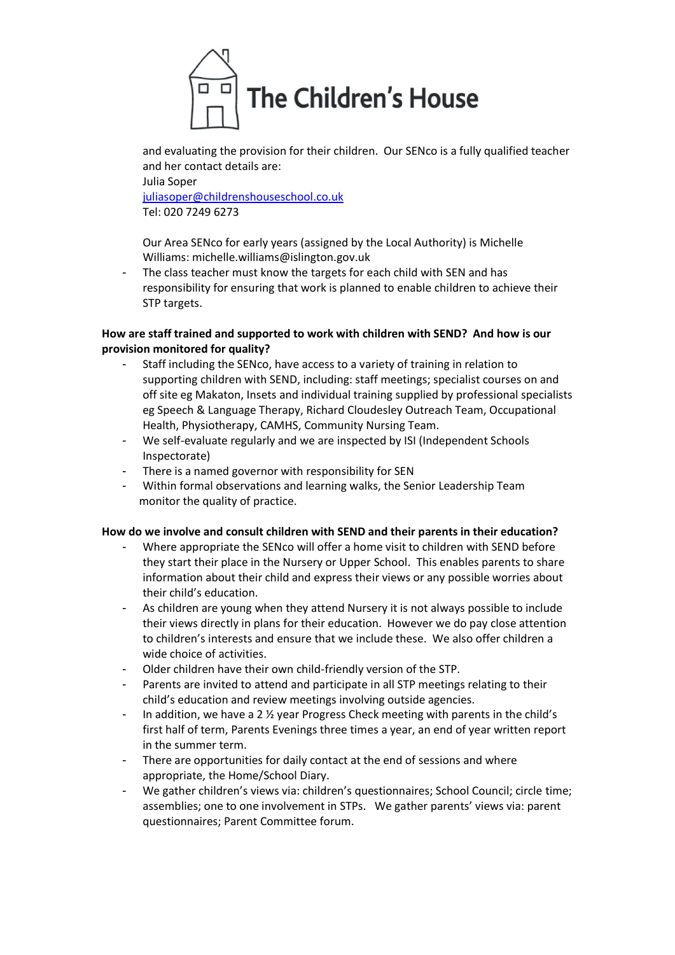

and evaluating the provision for their children. Our SENco is a fully qualified teacher and her contact details are:

Julia Soper [juliasoper@childrenshouseschool.co.uk](mailto:juliasoper@childrenshouseschool.co.uk) Tel: 020 7249 6273

Our Area SENco for early years (assigned by the Local Authority) is Michelle Williams: michelle.williams@islington.gov.uk

- The class teacher must know the targets for each child with SEN and has responsibility for ensuring that work is planned to enable children to achieve their STP targets.

# **How are staff trained and supported to work with children with SEND? And how is our provision monitored for quality?**

- Staff including the SENco, have access to a variety of training in relation to supporting children with SEND, including: staff meetings; specialist courses on and off site eg Makaton, Insets and individual training supplied by professional specialists eg Speech & Language Therapy, Richard Cloudesley Outreach Team, Occupational Health, Physiotherapy, CAMHS, Community Nursing Team.
- We self-evaluate regularly and we are inspected by ISI (Independent Schools Inspectorate)
- There is a named governor with responsibility for SEN
- Within formal observations and learning walks, the Senior Leadership Team monitor the quality of practice.

# **How do we involve and consult children with SEND and their parents in their education?**

- Where appropriate the SENco will offer a home visit to children with SEND before they start their place in the Nursery or Upper School. This enables parents to share information about their child and express their views or any possible worries about their child's education.
- As children are young when they attend Nursery it is not always possible to include their views directly in plans for their education. However we do pay close attention to children's interests and ensure that we include these. We also offer children a wide choice of activities.
- Older children have their own child-friendly version of the STP.
- Parents are invited to attend and participate in all STP meetings relating to their child's education and review meetings involving outside agencies.
- In addition, we have a 2  $\frac{1}{2}$  year Progress Check meeting with parents in the child's first half of term, Parents Evenings three times a year, an end of year written report in the summer term.
- There are opportunities for daily contact at the end of sessions and where appropriate, the Home/School Diary.
- We gather children's views via: children's questionnaires; School Council; circle time; assemblies; one to one involvement in STPs. We gather parents' views via: parent questionnaires; Parent Committee forum.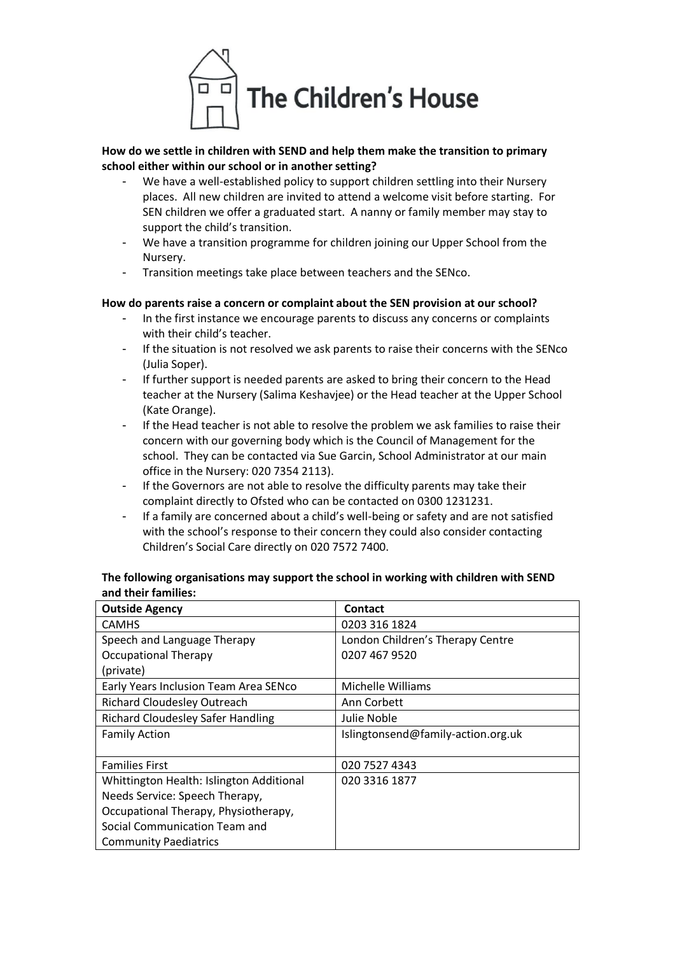

# **How do we settle in children with SEND and help them make the transition to primary school either within our school or in another setting?**

- We have a well-established policy to support children settling into their Nursery places. All new children are invited to attend a welcome visit before starting. For SEN children we offer a graduated start. A nanny or family member may stay to support the child's transition.
- We have a transition programme for children joining our Upper School from the Nursery.
- Transition meetings take place between teachers and the SENco.

## **How do parents raise a concern or complaint about the SEN provision at our school?**

- In the first instance we encourage parents to discuss any concerns or complaints with their child's teacher.
- If the situation is not resolved we ask parents to raise their concerns with the SENco (Julia Soper).
- If further support is needed parents are asked to bring their concern to the Head teacher at the Nursery (Salima Keshavjee) or the Head teacher at the Upper School (Kate Orange).
- If the Head teacher is not able to resolve the problem we ask families to raise their concern with our governing body which is the Council of Management for the school. They can be contacted via Sue Garcin, School Administrator at our main office in the Nursery: 020 7354 2113).
- If the Governors are not able to resolve the difficulty parents may take their complaint directly to Ofsted who can be contacted on 0300 1231231.
- If a family are concerned about a child's well-being or safety and are not satisfied with the school's response to their concern they could also consider contacting Children's Social Care directly on 020 7572 7400.

| <b>Outside Agency</b>                    | <b>Contact</b>                     |  |
|------------------------------------------|------------------------------------|--|
| <b>CAMHS</b>                             | 0203 316 1824                      |  |
| Speech and Language Therapy              | London Children's Therapy Centre   |  |
| <b>Occupational Therapy</b>              | 0207 467 9520                      |  |
| (private)                                |                                    |  |
| Early Years Inclusion Team Area SENco    | Michelle Williams                  |  |
| <b>Richard Cloudesley Outreach</b>       | Ann Corbett                        |  |
| <b>Richard Cloudesley Safer Handling</b> | Julie Noble                        |  |
| <b>Family Action</b>                     | Islingtonsend@family-action.org.uk |  |
|                                          |                                    |  |
| <b>Families First</b>                    | 020 7527 4343                      |  |
| Whittington Health: Islington Additional | 020 3316 1877                      |  |
| Needs Service: Speech Therapy,           |                                    |  |
| Occupational Therapy, Physiotherapy,     |                                    |  |
| Social Communication Team and            |                                    |  |
| <b>Community Paediatrics</b>             |                                    |  |

## **The following organisations may support the school in working with children with SEND and their families:**